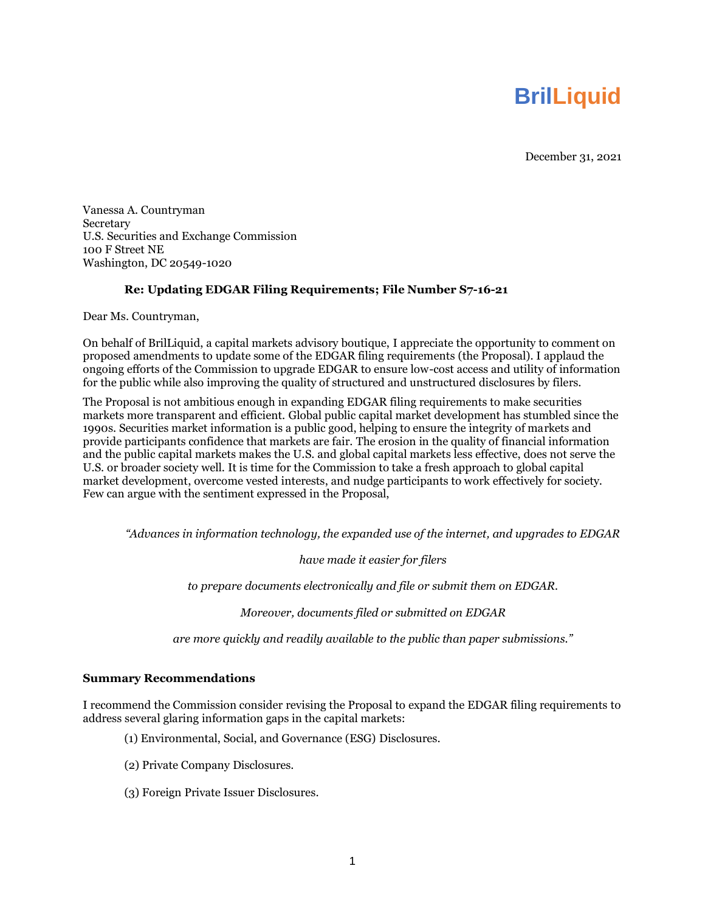# **BrilLiquid**

December 31, 2021

Vanessa A. Countryman Secretary U.S. Securities and Exchange Commission 100 F Street NE Washington, DC 20549-1020

# **Re: Updating EDGAR Filing Requirements; File Number S7-16-21**

Dear Ms. Countryman,

On behalf of BrilLiquid, a capital markets advisory boutique, I appreciate the opportunity to comment on proposed amendments to update some of the EDGAR filing requirements (the Proposal). I applaud the ongoing efforts of the Commission to upgrade EDGAR to ensure low-cost access and utility of information for the public while also improving the quality of structured and unstructured disclosures by filers.

The Proposal is not ambitious enough in expanding EDGAR filing requirements to make securities markets more transparent and efficient. Global public capital market development has stumbled since the 1990s. Securities market information is a public good, helping to ensure the integrity of markets and provide participants confidence that markets are fair. The erosion in the quality of financial information and the public capital markets makes the U.S. and global capital markets less effective, does not serve the U.S. or broader society well. It is time for the Commission to take a fresh approach to global capital market development, overcome vested interests, and nudge participants to work effectively for society. Few can argue with the sentiment expressed in the Proposal,

*"Advances in information technology, the expanded use of the internet, and upgrades to EDGAR* 

*have made it easier for filers* 

*to prepare documents electronically and file or submit them on EDGAR.* 

*Moreover, documents filed or submitted on EDGAR* 

*are more quickly and readily available to the public than paper submissions."*

#### **Summary Recommendations**

I recommend the Commission consider revising the Proposal to expand the EDGAR filing requirements to address several glaring information gaps in the capital markets:

- (1) Environmental, Social, and Governance (ESG) Disclosures.
- (2) Private Company Disclosures.
- (3) Foreign Private Issuer Disclosures.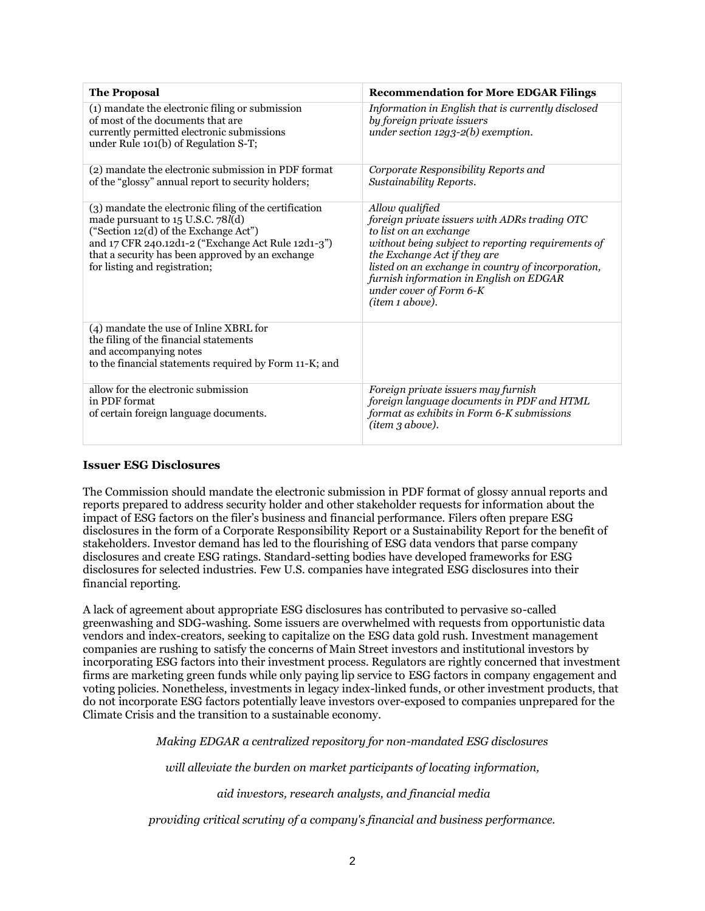| <b>The Proposal</b>                                                                                                                                                                                                                                                             | <b>Recommendation for More EDGAR Filings</b>                                                                                                                                                                                                                                                                                    |
|---------------------------------------------------------------------------------------------------------------------------------------------------------------------------------------------------------------------------------------------------------------------------------|---------------------------------------------------------------------------------------------------------------------------------------------------------------------------------------------------------------------------------------------------------------------------------------------------------------------------------|
| (1) mandate the electronic filing or submission<br>of most of the documents that are<br>currently permitted electronic submissions<br>under Rule 101(b) of Regulation S-T;                                                                                                      | Information in English that is currently disclosed<br>by foreign private issuers<br>under section $12q3-2(b)$ exemption.                                                                                                                                                                                                        |
| (2) mandate the electronic submission in PDF format<br>of the "glossy" annual report to security holders;                                                                                                                                                                       | Corporate Responsibility Reports and<br>Sustainability Reports.                                                                                                                                                                                                                                                                 |
| (3) mandate the electronic filing of the certification<br>made pursuant to 15 U.S.C. 78l(d)<br>("Section 12(d) of the Exchange Act")<br>and 17 CFR 240.12d1-2 ("Exchange Act Rule 12d1-3")<br>that a security has been approved by an exchange<br>for listing and registration; | Allow qualified<br>foreign private issuers with ADRs trading OTC<br>to list on an exchange<br>without being subject to reporting requirements of<br>the Exchange Act if they are<br>listed on an exchange in country of incorporation,<br>furnish information in English on EDGAR<br>under cover of Form 6-K<br>(item 1 above). |
| (4) mandate the use of Inline XBRL for<br>the filing of the financial statements<br>and accompanying notes<br>to the financial statements required by Form 11-K; and                                                                                                            |                                                                                                                                                                                                                                                                                                                                 |
| allow for the electronic submission<br>in PDF format<br>of certain foreign language documents.                                                                                                                                                                                  | Foreign private issuers may furnish<br>foreign language documents in PDF and HTML<br>format as exhibits in Form 6-K submissions<br>(item 3 above).                                                                                                                                                                              |

## **Issuer ESG Disclosures**

The Commission should mandate the electronic submission in PDF format of glossy annual reports and reports prepared to address security holder and other stakeholder requests for information about the impact of ESG factors on the filer's business and financial performance. Filers often prepare ESG disclosures in the form of a Corporate Responsibility Report or a Sustainability Report for the benefit of stakeholders. Investor demand has led to the flourishing of ESG data vendors that parse company disclosures and create ESG ratings. Standard-setting bodies have developed frameworks for ESG disclosures for selected industries. Few U.S. companies have integrated ESG disclosures into their financial reporting.

A lack of agreement about appropriate ESG disclosures has contributed to pervasive so-called greenwashing and SDG-washing. Some issuers are overwhelmed with requests from opportunistic data vendors and index-creators, seeking to capitalize on the ESG data gold rush. Investment management companies are rushing to satisfy the concerns of Main Street investors and institutional investors by incorporating ESG factors into their investment process. Regulators are rightly concerned that investment firms are marketing green funds while only paying lip service to ESG factors in company engagement and voting policies. Nonetheless, investments in legacy index-linked funds, or other investment products, that do not incorporate ESG factors potentially leave investors over-exposed to companies unprepared for the Climate Crisis and the transition to a sustainable economy.

*Making EDGAR a centralized repository for non-mandated ESG disclosures* 

*will alleviate the burden on market participants of locating information,*

*aid investors, research analysts, and financial media*

*providing critical scrutiny of a company's financial and business performance.*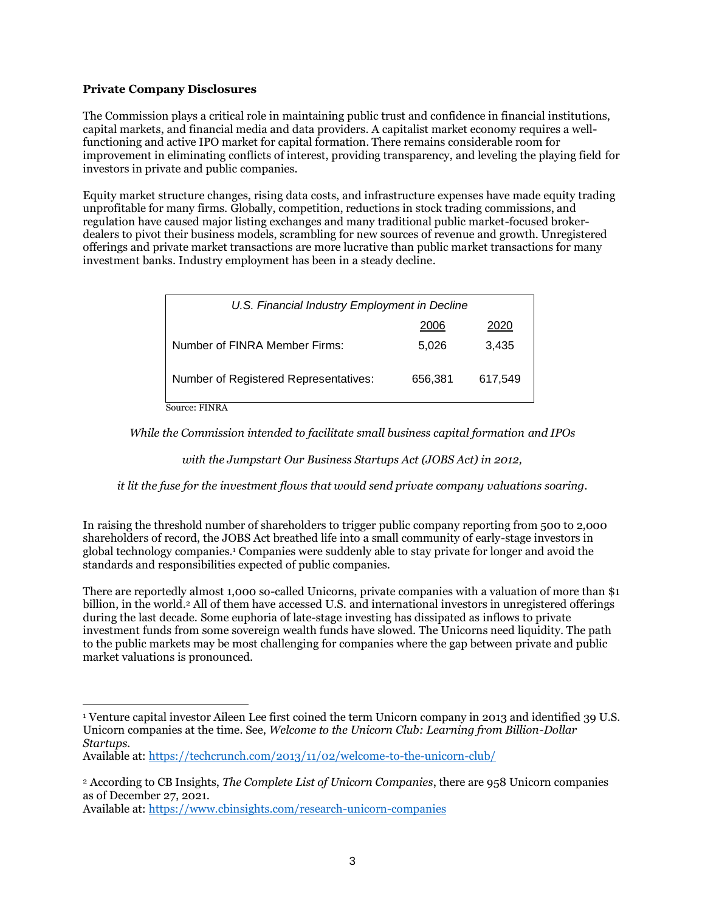# **Private Company Disclosures**

The Commission plays a critical role in maintaining public trust and confidence in financial institutions, capital markets, and financial media and data providers. A capitalist market economy requires a wellfunctioning and active IPO market for capital formation. There remains considerable room for improvement in eliminating conflicts of interest, providing transparency, and leveling the playing field for investors in private and public companies.

Equity market structure changes, rising data costs, and infrastructure expenses have made equity trading unprofitable for many firms. Globally, competition, reductions in stock trading commissions, and regulation have caused major listing exchanges and many traditional public market-focused brokerdealers to pivot their business models, scrambling for new sources of revenue and growth. Unregistered offerings and private market transactions are more lucrative than public market transactions for many investment banks. Industry employment has been in a steady decline.

| U.S. Financial Industry Employment in Decline |         |         |  |  |  |  |
|-----------------------------------------------|---------|---------|--|--|--|--|
|                                               | 2006    | 2020    |  |  |  |  |
| Number of FINRA Member Firms:                 | 5.026   | 3.435   |  |  |  |  |
| Number of Registered Representatives:         | 656.381 | 617.549 |  |  |  |  |
| Source: FINRA                                 |         |         |  |  |  |  |

*While the Commission intended to facilitate small business capital formation and IPOs* 

*with the Jumpstart Our Business Startups Act (JOBS Act) in 2012,* 

*it lit the fuse for the investment flows that would send private company valuations soaring.*

In raising the threshold number of shareholders to trigger public company reporting from 500 to 2,000 shareholders of record, the JOBS Act breathed life into a small community of early-stage investors in global technology companies.<sup>1</sup> Companies were suddenly able to stay private for longer and avoid the standards and responsibilities expected of public companies.

There are reportedly almost 1,000 so-called Unicorns, private companies with a valuation of more than \$1 billion, in the world. <sup>2</sup> All of them have accessed U.S. and international investors in unregistered offerings during the last decade. Some euphoria of late-stage investing has dissipated as inflows to private investment funds from some sovereign wealth funds have slowed. The Unicorns need liquidity. The path to the public markets may be most challenging for companies where the gap between private and public market valuations is pronounced.

Available at:<https://www.cbinsights.com/research-unicorn-companies>

<sup>1</sup> Venture capital investor Aileen Lee first coined the term Unicorn company in 2013 and identified 39 U.S. Unicorn companies at the time. See, *Welcome to the Unicorn Club: Learning from Billion-Dollar Startups.*

Available at:<https://techcrunch.com/2013/11/02/welcome-to-the-unicorn-club/>

<sup>2</sup> According to CB Insights, *The Complete List of Unicorn Companies*, there are 958 Unicorn companies as of December 27, 2021.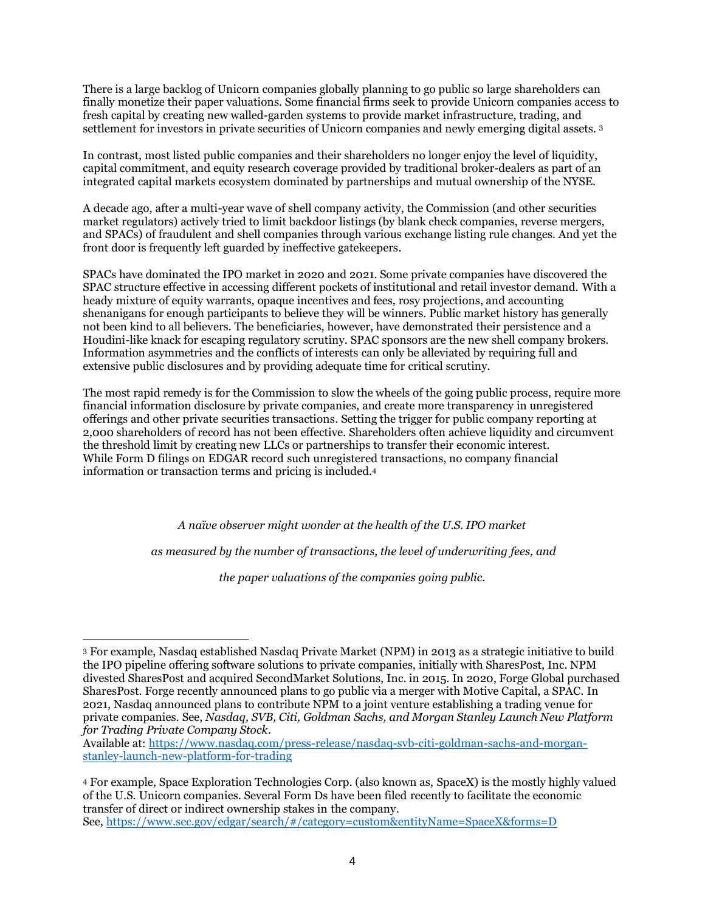There is a large backlog of Unicorn companies globally planning to go public so large shareholders can finally monetize their paper valuations. Some financial firms seek to provide Unicorn companies access to fresh capital by creating new walled-garden systems to provide market infrastructure, trading, and settlement for investors in private securities of Unicorn companies and newly emerging digital assets. <sup>3</sup>

In contrast, most listed public companies and their shareholders no longer enjoy the level of liquidity, capital commitment, and equity research coverage provided by traditional broker-dealers as part of an integrated capital markets ecosystem dominated by partnerships and mutual ownership of the NYSE.

A decade ago, after a multi-year wave of shell company activity, the Commission (and other securities market regulators) actively tried to limit backdoor listings (by blank check companies, reverse mergers, and SPACs) of fraudulent and shell companies through various exchange listing rule changes. And yet the front door is frequently left guarded by ineffective gatekeepers.

SPACs have dominated the IPO market in 2020 and 2021. Some private companies have discovered the SPAC structure effective in accessing different pockets of institutional and retail investor demand. With a heady mixture of equity warrants, opaque incentives and fees, rosy projections, and accounting shenanigans for enough participants to believe they will be winners. Public market history has generally not been kind to all believers. The beneficiaries, however, have demonstrated their persistence and a Houdini-like knack for escaping regulatory scrutiny. SPAC sponsors are the new shell company brokers. Information asymmetries and the conflicts of interests can only be alleviated by requiring full and extensive public disclosures and by providing adequate time for critical scrutiny.

The most rapid remedy is for the Commission to slow the wheels of the going public process, require more financial information disclosure by private companies, and create more transparency in unregistered offerings and other private securities transactions. Setting the trigger for public company reporting at 2,000 shareholders of record has not been effective. Shareholders often achieve liquidity and circumvent the threshold limit by creating new LLCs or partnerships to transfer their economic interest. While Form D filings on EDGAR record such unregistered transactions, no company financial information or transaction terms and pricing is included. 4

*A naïve observer might wonder at the health of the U.S. IPO market*

*as measured by the number of transactions, the level of underwriting fees, and* 

*the paper valuations of the companies going public.*

Available at: [https://www.nasdaq.com/press-release/nasdaq-svb-citi-goldman-sachs-and-morgan](https://www.nasdaq.com/press-release/nasdaq-svb-citi-goldman-sachs-and-morgan-stanley-launch-new-platform-for-trading)[stanley-launch-new-platform-for-trading](https://www.nasdaq.com/press-release/nasdaq-svb-citi-goldman-sachs-and-morgan-stanley-launch-new-platform-for-trading)

<sup>3</sup> For example, Nasdaq established Nasdaq Private Market (NPM) in 2013 as a strategic initiative to build the IPO pipeline offering software solutions to private companies, initially with SharesPost, Inc. NPM divested SharesPost and acquired SecondMarket Solutions, Inc. in 2015. In 2020, Forge Global purchased SharesPost. Forge recently announced plans to go public via a merger with Motive Capital, a SPAC. In 2021, Nasdaq announced plans to contribute NPM to a joint venture establishing a trading venue for private companies. See, *Nasdaq, SVB, Citi, Goldman Sachs, and Morgan Stanley Launch New Platform for Trading Private Company Stock.* 

<sup>4</sup> For example, Space Exploration Technologies Corp. (also known as, SpaceX) is the mostly highly valued of the U.S. Unicorn companies. Several Form Ds have been filed recently to facilitate the economic transfer of direct or indirect ownership stakes in the company. See,<https://www.sec.gov/edgar/search/#/category=custom&entityName=SpaceX&forms=D>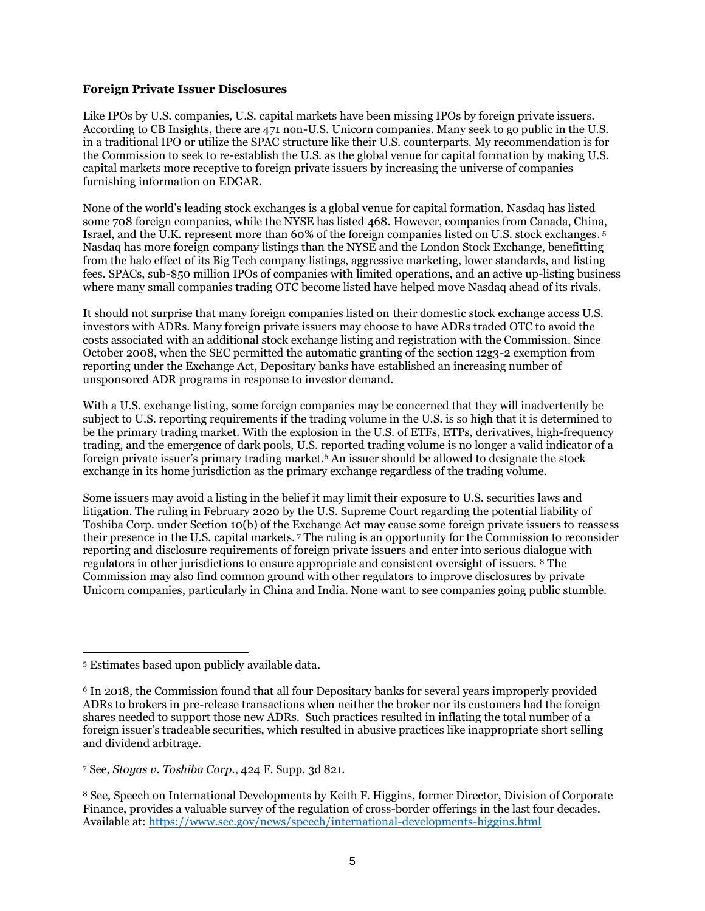# **Foreign Private Issuer Disclosures**

Like IPOs by U.S. companies, U.S. capital markets have been missing IPOs by foreign private issuers. According to CB Insights, there are 471 non-U.S. Unicorn companies. Many seek to go public in the U.S. in a traditional IPO or utilize the SPAC structure like their U.S. counterparts. My recommendation is for the Commission to seek to re-establish the U.S. as the global venue for capital formation by making U.S. capital markets more receptive to foreign private issuers by increasing the universe of companies furnishing information on EDGAR.

None of the world's leading stock exchanges is a global venue for capital formation. Nasdaq has listed some 708 foreign companies, while the NYSE has listed 468. However, companies from Canada, China, Israel, and the U.K. represent more than 60% of the foreign companies listed on U.S. stock exchanges. 5 Nasdaq has more foreign company listings than the NYSE and the London Stock Exchange, benefitting from the halo effect of its Big Tech company listings, aggressive marketing, lower standards, and listing fees. SPACs, sub-\$50 million IPOs of companies with limited operations, and an active up-listing business where many small companies trading OTC become listed have helped move Nasdaq ahead of its rivals.

It should not surprise that many foreign companies listed on their domestic stock exchange access U.S. investors with ADRs. Many foreign private issuers may choose to have ADRs traded OTC to avoid the costs associated with an additional stock exchange listing and registration with the Commission. Since October 2008, when the SEC permitted the automatic granting of the section 12g3-2 exemption from reporting under the Exchange Act, Depositary banks have established an increasing number of unsponsored ADR programs in response to investor demand.

With a U.S. exchange listing, some foreign companies may be concerned that they will inadvertently be subject to U.S. reporting requirements if the trading volume in the U.S. is so high that it is determined to be the primary trading market. With the explosion in the U.S. of ETFs, ETPs, derivatives, high-frequency trading, and the emergence of dark pools, U.S. reported trading volume is no longer a valid indicator of a foreign private issuer's primary trading market. <sup>6</sup> An issuer should be allowed to designate the stock exchange in its home jurisdiction as the primary exchange regardless of the trading volume.

Some issuers may avoid a listing in the belief it may limit their exposure to U.S. securities laws and litigation. The ruling in February 2020 by the U.S. Supreme Court regarding the potential liability of Toshiba Corp. under Section 10(b) of the Exchange Act may cause some foreign private issuers to reassess their presence in the U.S. capital markets. <sup>7</sup> The ruling is an opportunity for the Commission to reconsider reporting and disclosure requirements of foreign private issuers and enter into serious dialogue with regulators in other jurisdictions to ensure appropriate and consistent oversight of issuers. <sup>8</sup> The Commission may also find common ground with other regulators to improve disclosures by private Unicorn companies, particularly in China and India. None want to see companies going public stumble.

<sup>5</sup> Estimates based upon publicly available data.

<sup>6</sup> In 2018, the Commission found that all four Depositary banks for several years improperly provided ADRs to brokers in pre-release transactions when neither the broker nor its customers had the foreign shares needed to support those new ADRs. Such practices resulted in inflating the total number of a foreign issuer's tradeable securities, which resulted in abusive practices like inappropriate short selling and dividend arbitrage.

<sup>7</sup> See, *Stoyas v. Toshiba Corp.*, 424 F. Supp. 3d 821.

<sup>8</sup> See, Speech on International Developments by Keith F. Higgins, former Director, Division of Corporate Finance, provides a valuable survey of the regulation of cross-border offerings in the last four decades. Available at:<https://www.sec.gov/news/speech/international-developments-higgins.html>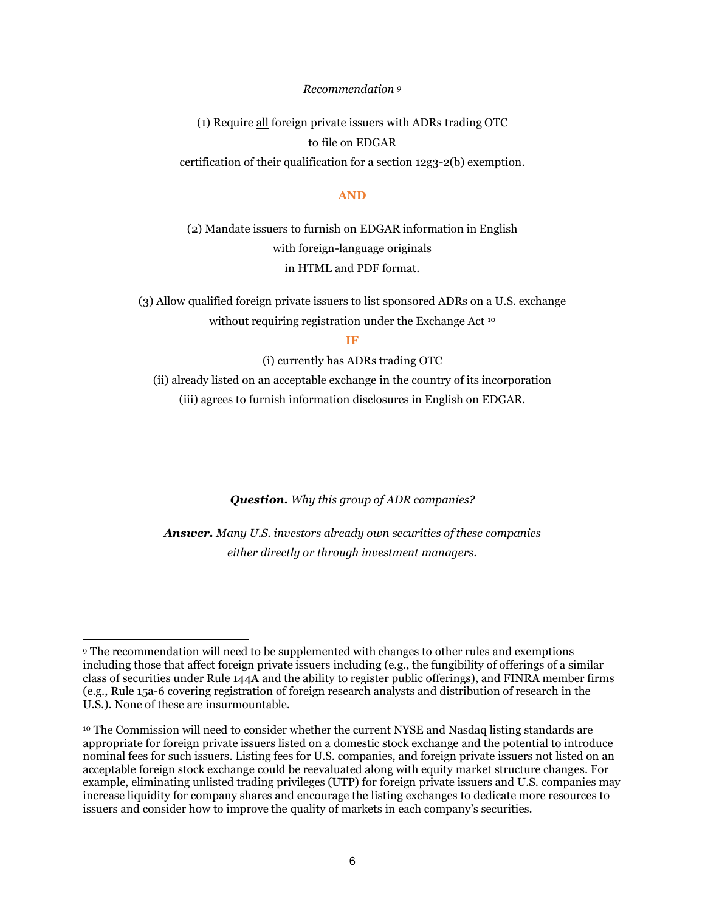## *Recommendation <sup>9</sup>*

(1) Require all foreign private issuers with ADRs tradingOTC to file on EDGAR certification of their qualification for a section 12g3-2(b) exemption.

### **AND**

(2) Mandate issuers to furnish on EDGAR information in English with foreign-language originals in HTML and PDF format.

(3) Allow qualified foreign private issuers to list sponsored ADRs on a U.S. exchange without requiring registration under the Exchange Act <sup>10</sup>

**IF**

(i) currently has ADRs trading OTC

(ii) already listed on an acceptable exchange in the country of its incorporation (iii) agrees to furnish information disclosures in English on EDGAR.

*Question. Why this group of ADR companies?*

*Answer. Many U.S. investors already own securities of these companies either directly or through investment managers.*

<sup>9</sup> The recommendation will need to be supplemented with changes to other rules and exemptions including those that affect foreign private issuers including (e.g., the fungibility of offerings of a similar class of securities under Rule 144A and the ability to register public offerings), and FINRA member firms (e.g., Rule 15a-6 covering registration of foreign research analysts and distribution of research in the U.S.). None of these are insurmountable.

<sup>&</sup>lt;sup>10</sup> The Commission will need to consider whether the current NYSE and Nasdaq listing standards are appropriate for foreign private issuers listed on a domestic stock exchange and the potential to introduce nominal fees for such issuers. Listing fees for U.S. companies, and foreign private issuers not listed on an acceptable foreign stock exchange could be reevaluated along with equity market structure changes. For example, eliminating unlisted trading privileges (UTP) for foreign private issuers and U.S. companies may increase liquidity for company shares and encourage the listing exchanges to dedicate more resources to issuers and consider how to improve the quality of markets in each company's securities.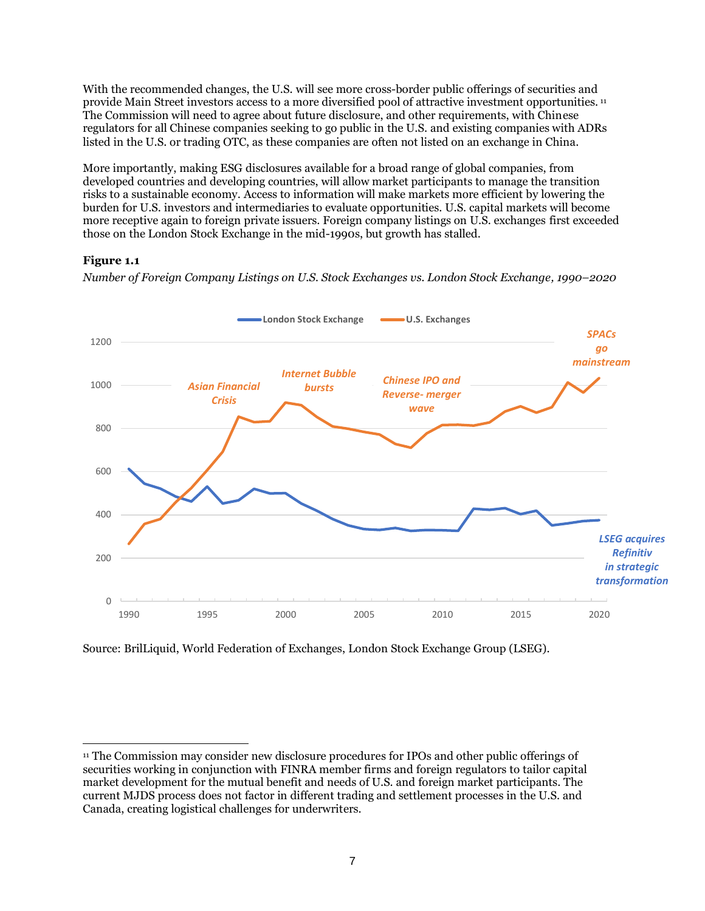With the recommended changes, the U.S. will see more cross-border public offerings of securities and provide Main Street investors access to a more diversified pool of attractive investment opportunities. <sup>11</sup> The Commission will need to agree about future disclosure, and other requirements, with Chinese regulators for all Chinese companies seeking to go public in the U.S. and existing companies with ADRs listed in the U.S. or trading OTC, as these companies are often not listed on an exchange in China.

More importantly, making ESG disclosures available for a broad range of global companies, from developed countries and developing countries, will allow market participants to manage the transition risks to a sustainable economy. Access to information will make markets more efficient by lowering the burden for U.S. investors and intermediaries to evaluate opportunities. U.S. capital markets will become more receptive again to foreign private issuers. Foreign company listings on U.S. exchanges first exceeded those on the London Stock Exchange in the mid-1990s, but growth has stalled.

# **Figure 1.1**

*Number of Foreign Company Listings on U.S. Stock Exchanges vs. London Stock Exchange, 1990–2020*



Source: BrilLiquid, World Federation of Exchanges, London Stock Exchange Group (LSEG).

<sup>11</sup> The Commission may consider new disclosure procedures for IPOs and other public offerings of securities working in conjunction with FINRA member firms and foreign regulators to tailor capital market development for the mutual benefit and needs of U.S. and foreign market participants. The current MJDS process does not factor in different trading and settlement processes in the U.S. and Canada, creating logistical challenges for underwriters.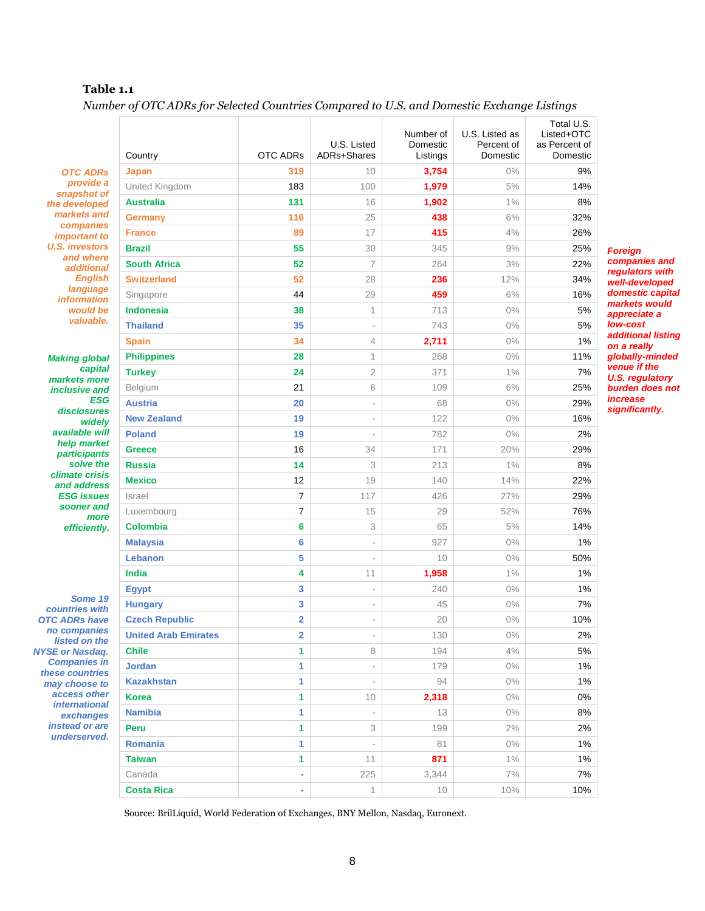# **Table 1.1**

*Number of OTC ADRs for Selected Countries Compared to U.S. and Domestic Exchange Listings*

|                                                                                                                                                                                                          | Country                     | <b>OTC ADRs</b>          | U.S. Listed<br>ADRs+Shares | Number of<br>Domestic<br>Listings | U.S. Listed as<br>Percent of<br>Domestic | Total U.S.<br>Listed+OTC<br>as Percent of<br>Domestic |
|----------------------------------------------------------------------------------------------------------------------------------------------------------------------------------------------------------|-----------------------------|--------------------------|----------------------------|-----------------------------------|------------------------------------------|-------------------------------------------------------|
| <b>OTC ADRs</b><br>provide a<br>snapshot of<br>the developed<br>markets and<br>companies<br><i>important to</i><br><b>U.S. investors</b><br>and where<br><b>additional</b><br><b>English</b><br>language | Japan                       | 319                      | 10                         | 3,754                             | $0\%$                                    | 9%                                                    |
|                                                                                                                                                                                                          | United Kingdom              | 183                      | 100                        | 1,979                             | 5%                                       | 14%                                                   |
|                                                                                                                                                                                                          | <b>Australia</b>            | 131                      | 16                         | 1,902                             | 1%                                       | 8%                                                    |
|                                                                                                                                                                                                          | <b>Germany</b>              | 116                      | 25                         | 438                               | 6%                                       | 32%                                                   |
|                                                                                                                                                                                                          | <b>France</b>               | 89                       | 17                         | 415                               | 4%                                       | 26%                                                   |
|                                                                                                                                                                                                          | <b>Brazil</b>               | 55                       | 30                         | 345                               | 9%                                       | 25%<br>F                                              |
|                                                                                                                                                                                                          | <b>South Africa</b>         | 52                       | $\overline{7}$             | 264                               | 3%                                       | c<br>22%                                              |
|                                                                                                                                                                                                          | <b>Switzerland</b>          | 52                       | 28                         | 236                               | 12%                                      | 34%                                                   |
|                                                                                                                                                                                                          | Singapore                   | 44                       | 29                         | 459                               | 6%                                       | 16%                                                   |
| <i>information</i><br>would be                                                                                                                                                                           | <b>Indonesia</b>            | 38                       | 1                          | 713                               | $0\%$                                    | 5%                                                    |
| valuable.                                                                                                                                                                                                | <b>Thailand</b>             | 35                       | $\overline{\phantom{a}}$   | 743                               | 0%                                       | 5%                                                    |
|                                                                                                                                                                                                          | <b>Spain</b>                | 34                       | $\overline{4}$             | 2,711                             | $0\%$                                    | 1%                                                    |
|                                                                                                                                                                                                          | <b>Philippines</b>          | 28                       | 1                          | 268                               | 0%                                       | 11%                                                   |
| <b>Making global</b><br>capital<br>markets more                                                                                                                                                          | <b>Turkey</b>               | 24                       | $\mathfrak 2$              | 371                               | $1\%$                                    | 7%                                                    |
|                                                                                                                                                                                                          | Belgium                     | 21                       | 6                          | 109                               | 6%                                       | 25%                                                   |
| <i>inclusive and</i><br><b>ESG</b>                                                                                                                                                                       | <b>Austria</b>              | 20                       | $\overline{\phantom{a}}$   | 68                                | 0%                                       | 29%                                                   |
| disclosures                                                                                                                                                                                              | <b>New Zealand</b>          | 19                       | $\bar{a}$                  | 122                               | 0%                                       | 16%                                                   |
| widelv<br>available will                                                                                                                                                                                 | <b>Poland</b>               | 19                       | ÷,                         | 782                               | $0\%$                                    | 2%                                                    |
| help market                                                                                                                                                                                              | <b>Greece</b>               | 16                       | 34                         | 171                               | 20%                                      | 29%                                                   |
| <i>participants</i><br>solve the                                                                                                                                                                         | <b>Russia</b>               | 14                       | 3                          | 213                               | $1\%$                                    | 8%                                                    |
| climate crisis                                                                                                                                                                                           | <b>Mexico</b>               | 12                       | 19                         | 140                               | 14%                                      | 22%                                                   |
| and address<br><b>ESG issues</b><br>sooner and                                                                                                                                                           |                             |                          |                            |                                   |                                          |                                                       |
|                                                                                                                                                                                                          | Israel                      | $\overline{7}$           | 117                        | 426                               | 27%                                      | 29%                                                   |
| more                                                                                                                                                                                                     | Luxembourg                  | 7                        | 15                         | 29                                | 52%                                      | 76%                                                   |
| efficiently.                                                                                                                                                                                             | <b>Colombia</b>             | 6                        | 3                          | 65                                | 5%                                       | 14%                                                   |
|                                                                                                                                                                                                          | <b>Malaysia</b>             | 6                        | $\overline{\phantom{a}}$   | 927                               | $0\%$                                    | 1%                                                    |
|                                                                                                                                                                                                          | Lebanon                     | 5                        | ä,                         | 10                                | $0\%$                                    | 50%                                                   |
|                                                                                                                                                                                                          | India                       | 4                        | 11                         | 1,958                             | $1\%$                                    | 1%                                                    |
| Some 19<br>countries with                                                                                                                                                                                | <b>Egypt</b>                | 3                        | $\overline{\phantom{a}}$   | 240                               | $0\%$                                    | 1%                                                    |
|                                                                                                                                                                                                          | <b>Hungary</b>              | 3                        | $\overline{\phantom{a}}$   | 45                                | $0\%$                                    | 7%                                                    |
| <b>OTC ADRs have</b><br>no companies                                                                                                                                                                     | <b>Czech Republic</b>       | $\overline{2}$           | ÷,                         | 20                                | $0\%$                                    | 10%                                                   |
| listed on the                                                                                                                                                                                            | <b>United Arab Emirates</b> | 2                        | $\overline{\phantom{a}}$   | 130                               | $0\%$                                    | 2%                                                    |
| <b>NYSE or Nasdaq.</b>                                                                                                                                                                                   | <b>Chile</b>                | 1                        | 8                          | 194                               | 4%                                       | 5%                                                    |
| <b>Companies in</b><br>these countries                                                                                                                                                                   | <b>Jordan</b>               | 1                        | $\overline{\phantom{a}}$   | 179                               | $0\%$                                    | $1\%$                                                 |
| may choose to                                                                                                                                                                                            | <b>Kazakhstan</b>           | 1                        | $\overline{\phantom{a}}$   | 94                                | $0\%$                                    | $1\%$                                                 |
| access other<br><i>international</i>                                                                                                                                                                     | <b>Korea</b>                | 1                        | 10                         | 2,318                             | $0\%$                                    | $0\%$                                                 |
| exchanges<br>instead or are<br>underserved.                                                                                                                                                              | <b>Namibia</b>              | 1                        | $\overline{\phantom{a}}$   | 13                                | $0\%$                                    | 8%                                                    |
|                                                                                                                                                                                                          | Peru                        | 1                        | 3                          | 199                               | 2%                                       | 2%                                                    |
|                                                                                                                                                                                                          | Romania                     | 1                        | $\overline{\phantom{a}}$   | 81                                | $0\%$                                    | 1%                                                    |
|                                                                                                                                                                                                          | <b>Taiwan</b>               | 1                        | 11                         | 871                               | $1\%$                                    | 1%                                                    |
|                                                                                                                                                                                                          | Canada                      | $\overline{\phantom{a}}$ | 225                        | 3,344                             | 7%                                       | 7%                                                    |
|                                                                                                                                                                                                          | <b>Costa Rica</b>           |                          | $\mathbf 1$                | 10                                | 10%                                      | 10%                                                   |

*Foreign companies and regulators with well-developed domestic capital markets would appreciate a low-cost additional listing on a really globally-minded venue if the U.S. regulatory burden does not increase significantly.*

Source: BrilLiquid, World Federation of Exchanges, BNY Mellon, Nasdaq, Euronext.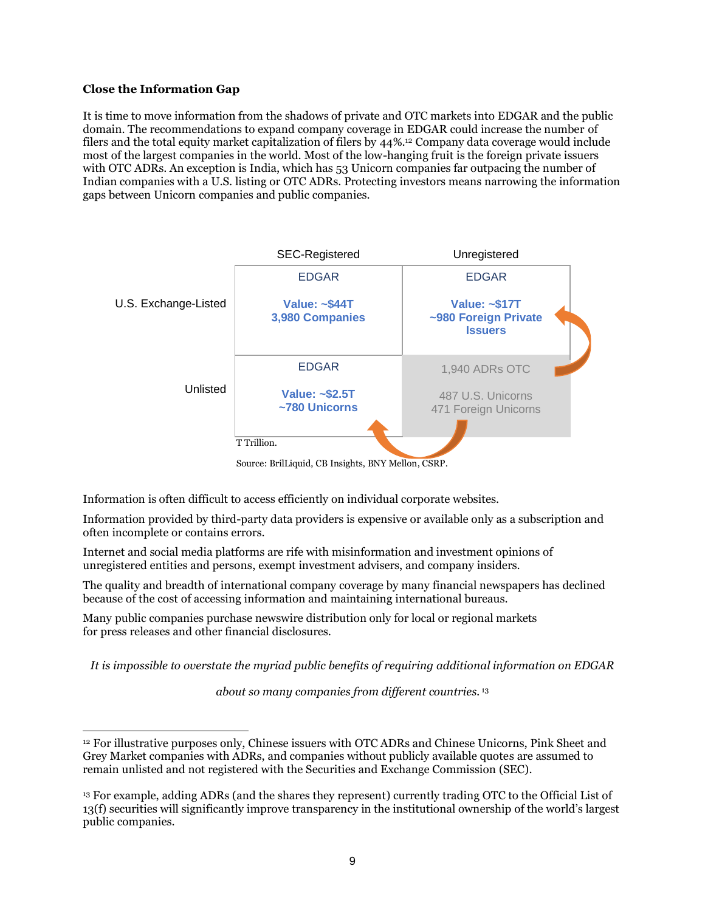# **Close the Information Gap**

It is time to move information from the shadows of private and OTC markets into EDGAR and the public domain. The recommendations to expand company coverage in EDGAR could increase the number of filers and the total equity market capitalization of filers by 44%.<sup>12</sup> Company data coverage would include most of the largest companies in the world. Most of the low-hanging fruit is the foreign private issuers with OTC ADRs. An exception is India, which has 53 Unicorn companies far outpacing the number of Indian companies with a U.S. listing or OTC ADRs. Protecting investors means narrowing the information gaps between Unicorn companies and public companies.



Source: BrilLiquid, CB Insights, BNY Mellon, CSRP.

Information is often difficult to access efficiently on individual corporate websites.

Information provided by third-party data providers is expensive or available only as a subscription and often incomplete or contains errors.

Internet and social media platforms are rife with misinformation and investment opinions of unregistered entities and persons, exempt investment advisers, and company insiders.

The quality and breadth of international company coverage by many financial newspapers has declined because of the cost of accessing information and maintaining international bureaus.

Many public companies purchase newswire distribution only for local or regional markets for press releases and other financial disclosures.

*It is impossible to overstate the myriad public benefits of requiring additional information on EDGAR*

*about so many companies from different countries.* <sup>13</sup>

<sup>12</sup> For illustrative purposes only, Chinese issuers with OTC ADRs and Chinese Unicorns, Pink Sheet and Grey Market companies with ADRs, and companies without publicly available quotes are assumed to remain unlisted and not registered with the Securities and Exchange Commission (SEC).

<sup>13</sup> For example, adding ADRs (and the shares they represent) currently trading OTC to the Official List of 13(f) securities will significantly improve transparency in the institutional ownership of the world's largest public companies.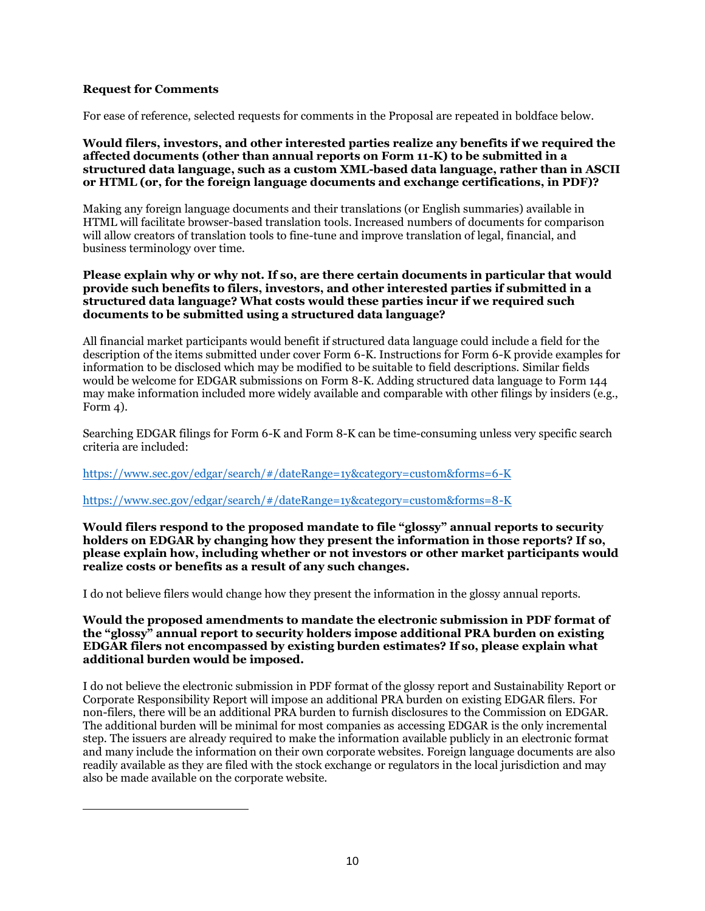# **Request for Comments**

For ease of reference, selected requests for comments in the Proposal are repeated in boldface below.

# **Would filers, investors, and other interested parties realize any benefits if we required the affected documents (other than annual reports on Form 11-K) to be submitted in a structured data language, such as a custom XML-based data language, rather than in ASCII or HTML (or, for the foreign language documents and exchange certifications, in PDF)?**

Making any foreign language documents and their translations (or English summaries) available in HTML will facilitate browser-based translation tools. Increased numbers of documents for comparison will allow creators of translation tools to fine-tune and improve translation of legal, financial, and business terminology over time.

## **Please explain why or why not. If so, are there certain documents in particular that would provide such benefits to filers, investors, and other interested parties if submitted in a structured data language? What costs would these parties incur if we required such documents to be submitted using a structured data language?**

All financial market participants would benefit if structured data language could include a field for the description of the items submitted under cover Form 6-K. Instructions for Form 6-K provide examples for information to be disclosed which may be modified to be suitable to field descriptions. Similar fields would be welcome for EDGAR submissions on Form 8-K. Adding structured data language to Form 144 may make information included more widely available and comparable with other filings by insiders (e.g., Form  $\Delta$ ).

Searching EDGAR filings for Form 6-K and Form 8-K can be time-consuming unless very specific search criteria are included:

## <https://www.sec.gov/edgar/search/#/dateRange=1y&category=custom&forms=6-K>

## <https://www.sec.gov/edgar/search/#/dateRange=1y&category=custom&forms=8-K>

**Would filers respond to the proposed mandate to file "glossy" annual reports to security holders on EDGAR by changing how they present the information in those reports? If so, please explain how, including whether or not investors or other market participants would realize costs or benefits as a result of any such changes.**

I do not believe filers would change how they present the information in the glossy annual reports.

## **Would the proposed amendments to mandate the electronic submission in PDF format of the "glossy" annual report to security holders impose additional PRA burden on existing EDGAR filers not encompassed by existing burden estimates? If so, please explain what additional burden would be imposed.**

I do not believe the electronic submission in PDF format of the glossy report and Sustainability Report or Corporate Responsibility Report will impose an additional PRA burden on existing EDGAR filers. For non-filers, there will be an additional PRA burden to furnish disclosures to the Commission on EDGAR. The additional burden will be minimal for most companies as accessing EDGAR is the only incremental step. The issuers are already required to make the information available publicly in an electronic format and many include the information on their own corporate websites. Foreign language documents are also readily available as they are filed with the stock exchange or regulators in the local jurisdiction and may also be made available on the corporate website.